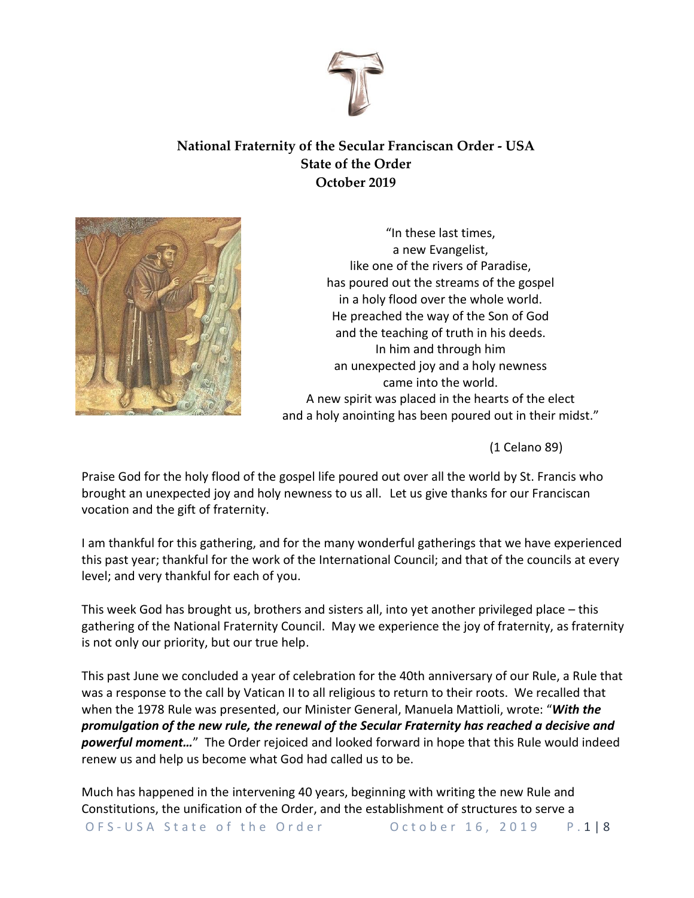

# **National Fraternity of the Secular Franciscan Order - USA State of the Order October 2019**



"In these last times, a new Evangelist, like one of the rivers of Paradise, has poured out the streams of the gospel in a holy flood over the whole world. He preached the way of the Son of God and the teaching of truth in his deeds. In him and through him an unexpected joy and a holy newness came into the world. A new spirit was placed in the hearts of the elect and a holy anointing has been poured out in their midst."

(1 Celano 89)

Praise God for the holy flood of the gospel life poured out over all the world by St. Francis who brought an unexpected joy and holy newness to us all. Let us give thanks for our Franciscan vocation and the gift of fraternity.

I am thankful for this gathering, and for the many wonderful gatherings that we have experienced this past year; thankful for the work of the International Council; and that of the councils at every level; and very thankful for each of you.

This week God has brought us, brothers and sisters all, into yet another privileged place – this gathering of the National Fraternity Council. May we experience the joy of fraternity, as fraternity is not only our priority, but our true help.

This past June we concluded a year of celebration for the 40th anniversary of our Rule, a Rule that was a response to the call by Vatican II to all religious to return to their roots. We recalled that when the 1978 Rule was presented, our Minister General, Manuela Mattioli, wrote: "*With the promulgation of the new rule, the renewal of the Secular Fraternity has reached a decisive and powerful moment…*" The Order rejoiced and looked forward in hope that this Rule would indeed renew us and help us become what God had called us to be.

O F S - U S A State of the Order Cotober 16, 2019 P.1 | 8 Much has happened in the intervening 40 years, beginning with writing the new Rule and Constitutions, the unification of the Order, and the establishment of structures to serve a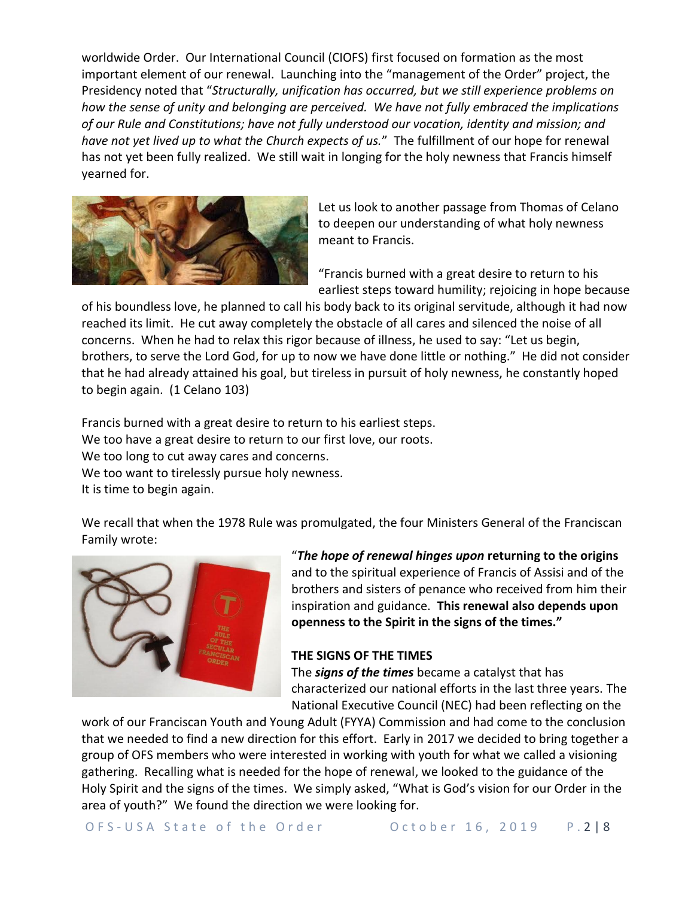worldwide Order. Our International Council (CIOFS) first focused on formation as the most important element of our renewal. Launching into the "management of the Order" project, the Presidency noted that "*Structurally, unification has occurred, but we still experience problems on how the sense of unity and belonging are perceived. We have not fully embraced the implications of our Rule and Constitutions; have not fully understood our vocation, identity and mission; and have not yet lived up to what the Church expects of us.*" The fulfillment of our hope for renewal has not yet been fully realized. We still wait in longing for the holy newness that Francis himself yearned for.



Let us look to another passage from Thomas of Celano to deepen our understanding of what holy newness meant to Francis.

"Francis burned with a great desire to return to his earliest steps toward humility; rejoicing in hope because

of his boundless love, he planned to call his body back to its original servitude, although it had now reached its limit. He cut away completely the obstacle of all cares and silenced the noise of all concerns. When he had to relax this rigor because of illness, he used to say: "Let us begin, brothers, to serve the Lord God, for up to now we have done little or nothing." He did not consider that he had already attained his goal, but tireless in pursuit of holy newness, he constantly hoped to begin again. (1 Celano 103)

Francis burned with a great desire to return to his earliest steps. We too have a great desire to return to our first love, our roots. We too long to cut away cares and concerns. We too want to tirelessly pursue holy newness. It is time to begin again.

We recall that when the 1978 Rule was promulgated, the four Ministers General of the Franciscan Family wrote:



"*The hope of renewal hinges upon* **returning to the origins** and to the spiritual experience of Francis of Assisi and of the brothers and sisters of penance who received from him their inspiration and guidance. **This renewal also depends upon openness to the Spirit in the signs of the times."**

# **THE SIGNS OF THE TIMES**

The *signs of the times* became a catalyst that has characterized our national efforts in the last three years. The National Executive Council (NEC) had been reflecting on the

work of our Franciscan Youth and Young Adult (FYYA) Commission and had come to the conclusion that we needed to find a new direction for this effort. Early in 2017 we decided to bring together a group of OFS members who were interested in working with youth for what we called a visioning gathering. Recalling what is needed for the hope of renewal, we looked to the guidance of the Holy Spirit and the signs of the times. We simply asked, "What is God's vision for our Order in the area of youth?" We found the direction we were looking for.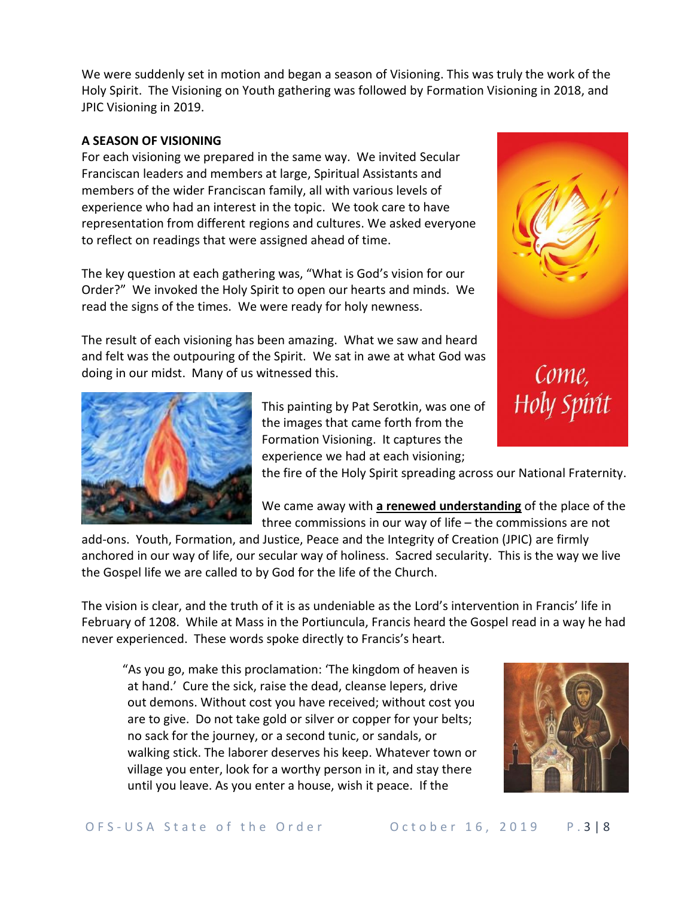We were suddenly set in motion and began a season of Visioning. This was truly the work of the Holy Spirit. The Visioning on Youth gathering was followed by Formation Visioning in 2018, and JPIC Visioning in 2019.

## **A SEASON OF VISIONING**

For each visioning we prepared in the same way. We invited Secular Franciscan leaders and members at large, Spiritual Assistants and members of the wider Franciscan family, all with various levels of experience who had an interest in the topic. We took care to have representation from different regions and cultures. We asked everyone to reflect on readings that were assigned ahead of time.

The key question at each gathering was, "What is God's vision for our Order?" We invoked the Holy Spirit to open our hearts and minds. We read the signs of the times. We were ready for holy newness.

The result of each visioning has been amazing. What we saw and heard and felt was the outpouring of the Spirit. We sat in awe at what God was doing in our midst. Many of us witnessed this.



This painting by Pat Serotkin, was one of the images that came forth from the Formation Visioning. It captures the experience we had at each visioning;

the fire of the Holy Spirit spreading across our National Fraternity.

We came away with **a renewed understanding** of the place of the three commissions in our way of life – the commissions are not

add-ons. Youth, Formation, and Justice, Peace and the Integrity of Creation (JPIC) are firmly anchored in our way of life, our secular way of holiness. Sacred secularity. This is the way we live the Gospel life we are called to by God for the life of the Church.

The vision is clear, and the truth of it is as undeniable as the Lord's intervention in Francis' life in February of 1208. While at Mass in the Portiuncula, Francis heard the Gospel read in a way he had never experienced. These words spoke directly to Francis's heart.

"As you go, make this proclamation: 'The kingdom of heaven is at hand.' Cure the sick, raise the dead, cleanse lepers, drive out demons. Without cost you have received; without cost you are to give. Do not take gold or silver or copper for your belts; no sack for the journey, or a second tunic, or sandals, or walking stick. The laborer deserves his keep. Whatever town or village you enter, look for a worthy person in it, and stay there until you leave. As you enter a house, wish it peace. If the



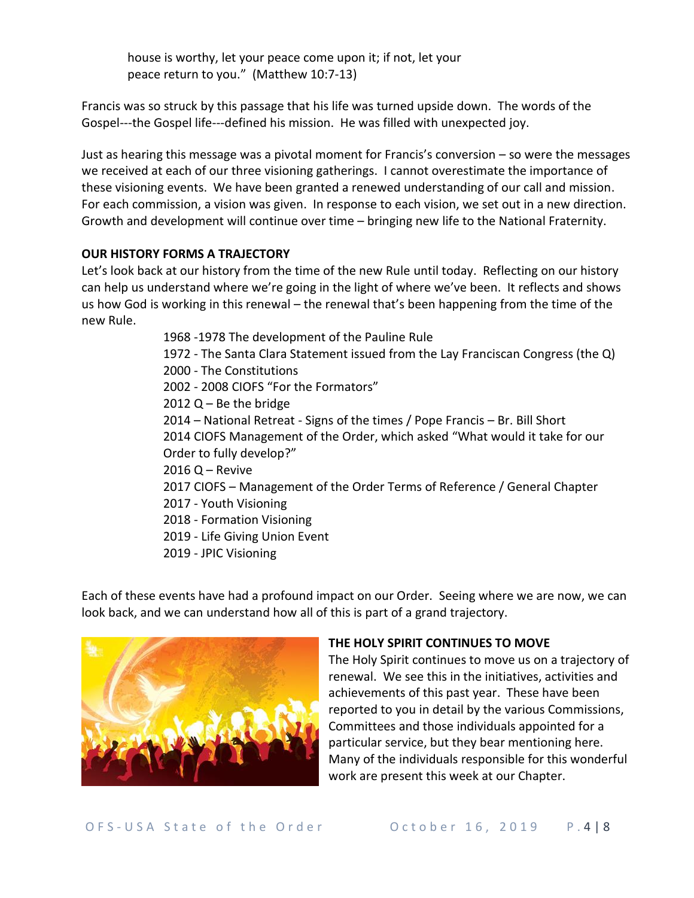house is worthy, let your peace come upon it; if not, let your peace return to you." (Matthew 10:7-13)

Francis was so struck by this passage that his life was turned upside down. The words of the Gospel---the Gospel life---defined his mission. He was filled with unexpected joy.

Just as hearing this message was a pivotal moment for Francis's conversion – so were the messages we received at each of our three visioning gatherings. I cannot overestimate the importance of these visioning events. We have been granted a renewed understanding of our call and mission. For each commission, a vision was given. In response to each vision, we set out in a new direction. Growth and development will continue over time – bringing new life to the National Fraternity.

## **OUR HISTORY FORMS A TRAJECTORY**

Let's look back at our history from the time of the new Rule until today. Reflecting on our history can help us understand where we're going in the light of where we've been. It reflects and shows us how God is working in this renewal – the renewal that's been happening from the time of the new Rule.

> 1968 -1978 The development of the Pauline Rule 1972 - The Santa Clara Statement issued from the Lay Franciscan Congress (the Q) 2000 - The Constitutions 2002 - 2008 CIOFS "For the Formators"  $2012 Q - Be$  the bridge 2014 – National Retreat - Signs of the times / Pope Francis – Br. Bill Short 2014 CIOFS Management of the Order, which asked "What would it take for our Order to fully develop?" 2016 Q – Revive 2017 CIOFS – Management of the Order Terms of Reference / General Chapter 2017 - Youth Visioning 2018 - Formation Visioning 2019 - Life Giving Union Event 2019 - JPIC Visioning

Each of these events have had a profound impact on our Order. Seeing where we are now, we can look back, and we can understand how all of this is part of a grand trajectory.



# **THE HOLY SPIRIT CONTINUES TO MOVE**

The Holy Spirit continues to move us on a trajectory of renewal. We see this in the initiatives, activities and achievements of this past year. These have been reported to you in detail by the various Commissions, Committees and those individuals appointed for a particular service, but they bear mentioning here. Many of the individuals responsible for this wonderful work are present this week at our Chapter.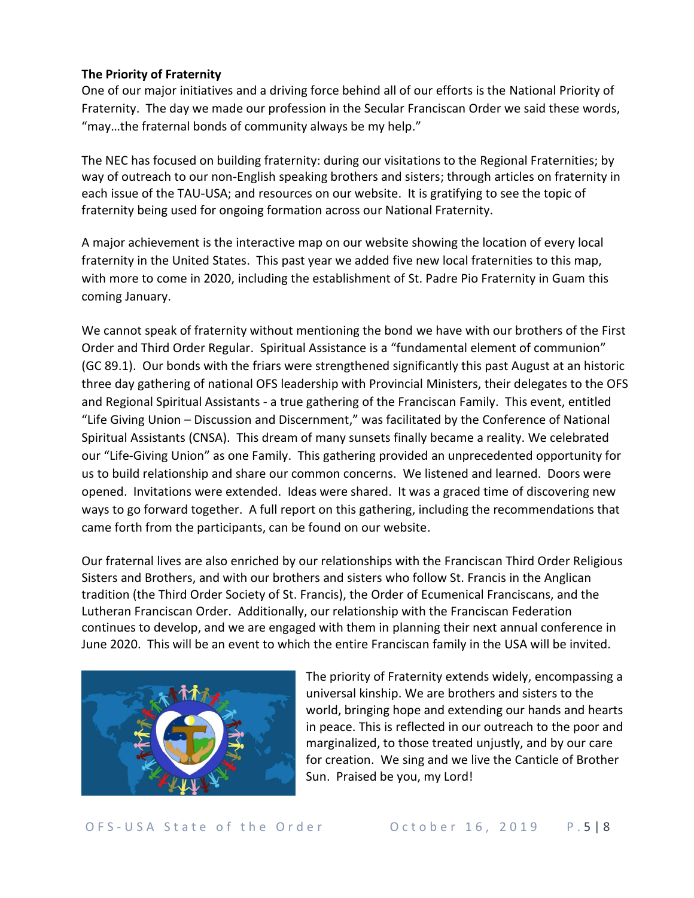#### **The Priority of Fraternity**

One of our major initiatives and a driving force behind all of our efforts is the National Priority of Fraternity. The day we made our profession in the Secular Franciscan Order we said these words, "may…the fraternal bonds of community always be my help."

The NEC has focused on building fraternity: during our visitations to the Regional Fraternities; by way of outreach to our non-English speaking brothers and sisters; through articles on fraternity in each issue of the TAU-USA; and resources on our website. It is gratifying to see the topic of fraternity being used for ongoing formation across our National Fraternity.

A major achievement is the interactive map on our website showing the location of every local fraternity in the United States. This past year we added five new local fraternities to this map, with more to come in 2020, including the establishment of St. Padre Pio Fraternity in Guam this coming January.

We cannot speak of fraternity without mentioning the bond we have with our brothers of the First Order and Third Order Regular. Spiritual Assistance is a "fundamental element of communion" (GC 89.1). Our bonds with the friars were strengthened significantly this past August at an historic three day gathering of national OFS leadership with Provincial Ministers, their delegates to the OFS and Regional Spiritual Assistants - a true gathering of the Franciscan Family. This event, entitled "Life Giving Union – Discussion and Discernment," was facilitated by the Conference of National Spiritual Assistants (CNSA). This dream of many sunsets finally became a reality. We celebrated our "Life-Giving Union" as one Family. This gathering provided an unprecedented opportunity for us to build relationship and share our common concerns. We listened and learned. Doors were opened. Invitations were extended. Ideas were shared. It was a graced time of discovering new ways to go forward together. A full report on this gathering, including the recommendations that came forth from the participants, can be found on our website.

Our fraternal lives are also enriched by our relationships with the Franciscan Third Order Religious Sisters and Brothers, and with our brothers and sisters who follow St. Francis in the Anglican tradition (the Third Order Society of St. Francis), the Order of Ecumenical Franciscans, and the Lutheran Franciscan Order. Additionally, our relationship with the Franciscan Federation continues to develop, and we are engaged with them in planning their next annual conference in June 2020. This will be an event to which the entire Franciscan family in the USA will be invited.



The priority of Fraternity extends widely, encompassing a universal kinship. We are brothers and sisters to the world, bringing hope and extending our hands and hearts in peace. This is reflected in our outreach to the poor and marginalized, to those treated unjustly, and by our care for creation. We sing and we live the Canticle of Brother Sun. Praised be you, my Lord!

O F S - U S A State of the Order Cotober 16, 2019 P.5 | 8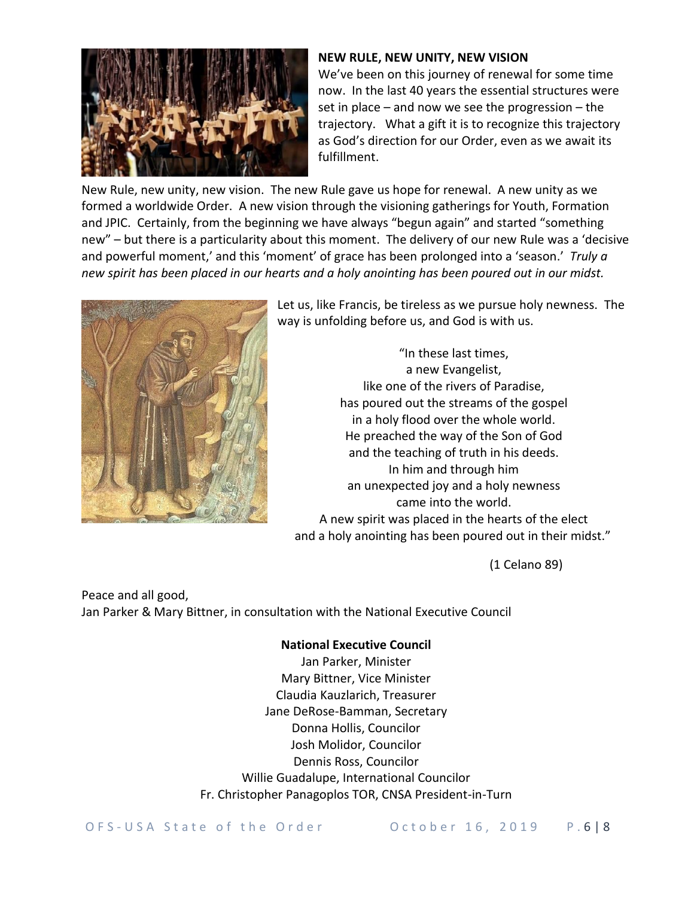

#### **NEW RULE, NEW UNITY, NEW VISION**

We've been on this journey of renewal for some time now. In the last 40 years the essential structures were set in place – and now we see the progression – the trajectory. What a gift it is to recognize this trajectory as God's direction for our Order, even as we await its fulfillment.

New Rule, new unity, new vision. The new Rule gave us hope for renewal. A new unity as we formed a worldwide Order. A new vision through the visioning gatherings for Youth, Formation and JPIC. Certainly, from the beginning we have always "begun again" and started "something new" – but there is a particularity about this moment. The delivery of our new Rule was a 'decisive and powerful moment,' and this 'moment' of grace has been prolonged into a 'season.' *Truly a new spirit has been placed in our hearts and a holy anointing has been poured out in our midst.*



Let us, like Francis, be tireless as we pursue holy newness. The way is unfolding before us, and God is with us.

"In these last times, a new Evangelist, like one of the rivers of Paradise, has poured out the streams of the gospel in a holy flood over the whole world. He preached the way of the Son of God and the teaching of truth in his deeds. In him and through him an unexpected joy and a holy newness came into the world. A new spirit was placed in the hearts of the elect and a holy anointing has been poured out in their midst."

(1 Celano 89)

Peace and all good, Jan Parker & Mary Bittner, in consultation with the National Executive Council

# **National Executive Council**

Jan Parker, Minister Mary Bittner, Vice Minister Claudia Kauzlarich, Treasurer Jane DeRose-Bamman, Secretary Donna Hollis, Councilor Josh Molidor, Councilor Dennis Ross, Councilor Willie Guadalupe, International Councilor Fr. Christopher Panagoplos TOR, CNSA President-in-Turn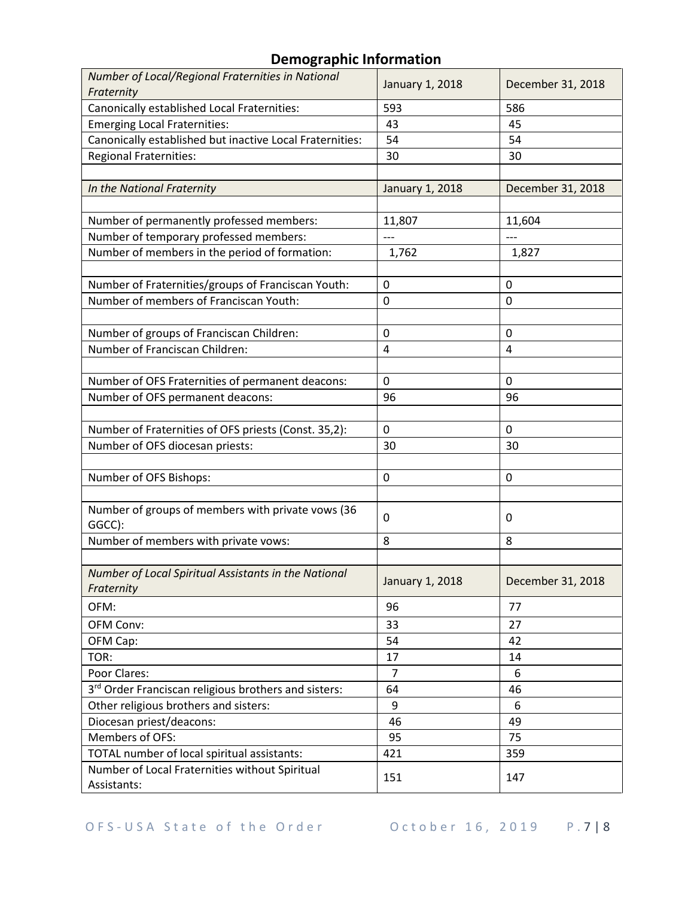# **Demographic Information**

| Number of Local/Regional Fraternities in National        | January 1, 2018 | December 31, 2018 |
|----------------------------------------------------------|-----------------|-------------------|
| Fraternity                                               |                 |                   |
| Canonically established Local Fraternities:              | 593             | 586               |
| <b>Emerging Local Fraternities:</b>                      | 43              | 45                |
| Canonically established but inactive Local Fraternities: | 54              | 54                |
| <b>Regional Fraternities:</b>                            | 30              | 30                |
|                                                          |                 |                   |
| In the National Fraternity                               | January 1, 2018 | December 31, 2018 |
|                                                          |                 |                   |
| Number of permanently professed members:                 | 11,807          | 11,604            |
| Number of temporary professed members:                   |                 |                   |
| Number of members in the period of formation:            | 1,762           | 1,827             |
|                                                          |                 |                   |
| Number of Fraternities/groups of Franciscan Youth:       | 0               | 0                 |
| Number of members of Franciscan Youth:                   | 0               | 0                 |
|                                                          |                 |                   |
| Number of groups of Franciscan Children:                 | 0               | $\mathbf 0$       |
| Number of Franciscan Children:                           | 4               | 4                 |
|                                                          |                 |                   |
| Number of OFS Fraternities of permanent deacons:         | 0               | $\mathbf 0$       |
| Number of OFS permanent deacons:                         | 96              | 96                |
|                                                          |                 |                   |
| Number of Fraternities of OFS priests (Const. 35,2):     | 0               | $\mathbf 0$       |
| Number of OFS diocesan priests:                          | 30              | 30                |
|                                                          |                 |                   |
| Number of OFS Bishops:                                   | 0               | 0                 |
|                                                          |                 |                   |
| Number of groups of members with private vows (36        |                 |                   |
| GGCC):                                                   | 0               | 0                 |
| Number of members with private vows:                     | 8               | 8                 |
|                                                          |                 |                   |
| Number of Local Spiritual Assistants in the National     | January 1, 2018 | December 31, 2018 |
| Fraternity                                               |                 |                   |
| OFM:                                                     | 96              | 77                |
| OFM Conv:                                                | 33              | 27                |
| OFM Cap:                                                 | 54              | 42                |
| TOR:                                                     | 17              | 14                |
| Poor Clares:                                             | $\overline{7}$  | 6                 |
| 3rd Order Franciscan religious brothers and sisters:     | 64              | 46                |
| Other religious brothers and sisters:                    | 9               | 6                 |
| Diocesan priest/deacons:                                 | 46              | 49                |
| Members of OFS:                                          | 95              | 75                |
| TOTAL number of local spiritual assistants:              | 421             | 359               |
| Number of Local Fraternities without Spiritual           |                 |                   |
| Assistants:                                              | 151             | 147               |
|                                                          |                 |                   |

O F S - U S A State of the Order Cotober 16, 2019 P.7 | 8